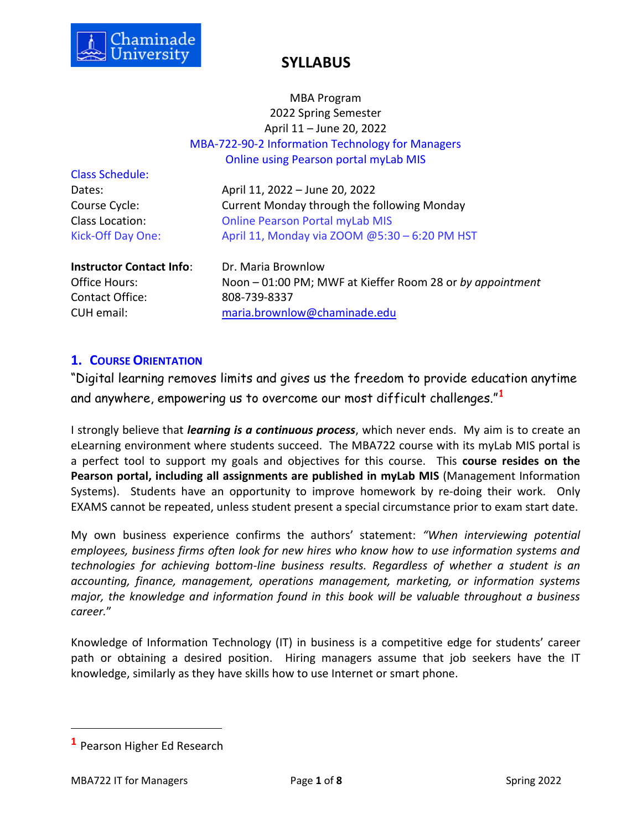

## MBA Program 2022 Spring Semester April 11 – June 20, 2022 MBA-722-90-2 Information Technology for Managers Online using Pearson portal myLab MIS

Class Schedule:

Dates: April 11, 2022 – June 20, 2022 Course Cycle: Current Monday through the following Monday Class Location: Online Pearson Portal myLab MIS Kick-Off Day One: April 11, Monday via ZOOM @5:30 – 6:20 PM HST

**Instructor Contact Info: Dr. Maria Brownlow** 

Office Hours: Noon – 01:00 PM; MWF at Kieffer Room 28 or *by appointment* Contact Office: 808-739-8337 CUH email: [maria.brownlow@chaminade.edu](mailto:maria.brownlow@chaminade.edu)

## **1. COURSE ORIENTATION**

"Digital learning removes limits and gives us the freedom to provide education anytime and anywhere, empowering us to overcome our most difficult challenges."**<sup>1</sup>**

I strongly believe that *learning is a continuous process*, which never ends. My aim is to create an eLearning environment where students succeed. The MBA722 course with its myLab MIS portal is a perfect tool to support my goals and objectives for this course. This **course resides on the Pearson portal, including all assignments are published in myLab MIS** (Management Information Systems). Students have an opportunity to improve homework by re-doing their work. Only EXAMS cannot be repeated, unless student present a special circumstance prior to exam start date.

My own business experience confirms the authors' statement: *"When interviewing potential employees, business firms often look for new hires who know how to use information systems and technologies for achieving bottom-line business results. Regardless of whether a student is an accounting, finance, management, operations management, marketing, or information systems major, the knowledge and information found in this book will be valuable throughout a business career.*"

Knowledge of Information Technology (IT) in business is a competitive edge for students' career path or obtaining a desired position. Hiring managers assume that job seekers have the IT knowledge, similarly as they have skills how to use Internet or smart phone.

**<sup>1</sup>** Pearson Higher Ed Research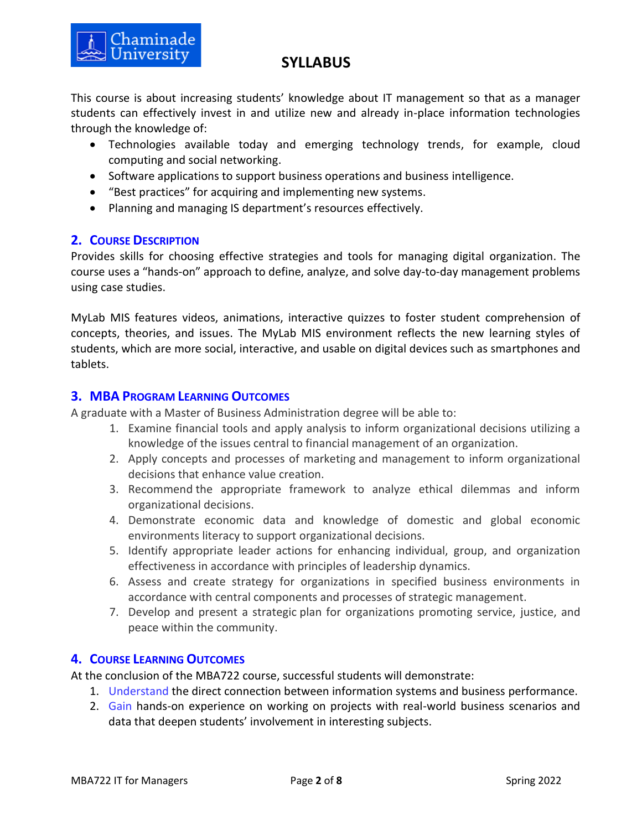

This course is about increasing students' knowledge about IT management so that as a manager students can effectively invest in and utilize new and already in-place information technologies through the knowledge of:

- Technologies available today and emerging technology trends, for example, cloud computing and social networking.
- Software applications to support business operations and business intelligence.
- "Best practices" for acquiring and implementing new systems.
- Planning and managing IS department's resources effectively.

## **2. COURSE DESCRIPTION**

Chaminade<br>University

Provides skills for choosing effective strategies and tools for managing digital organization. The course uses a "hands-on" approach to define, analyze, and solve day-to-day management problems using case studies.

MyLab MIS features videos, animations, interactive quizzes to foster student comprehension of concepts, theories, and issues. The MyLab MIS environment reflects the new learning styles of students, which are more social, interactive, and usable on digital devices such as smartphones and tablets.

## **3. MBA PROGRAM LEARNING OUTCOMES**

A graduate with a Master of Business Administration degree will be able to:

- 1. Examine financial tools and apply analysis to inform organizational decisions utilizing a knowledge of the issues central to financial management of an organization.
- 2. Apply concepts and processes of marketing and management to inform organizational decisions that enhance value creation.
- 3. Recommend the appropriate framework to analyze ethical dilemmas and inform organizational decisions.
- 4. Demonstrate economic data and knowledge of domestic and global economic environments literacy to support organizational decisions.
- 5. Identify appropriate leader actions for enhancing individual, group, and organization effectiveness in accordance with principles of leadership dynamics.
- 6. Assess and create strategy for organizations in specified business environments in accordance with central components and processes of strategic management.
- 7. Develop and present a strategic plan for organizations promoting service, justice, and peace within the community.

## **4. COURSE LEARNING OUTCOMES**

At the conclusion of the MBA722 course, successful students will demonstrate:

- 1. Understand the direct connection between information systems and business performance.
- 2. Gain hands-on experience on working on projects with real-world business scenarios and data that deepen students' involvement in interesting subjects.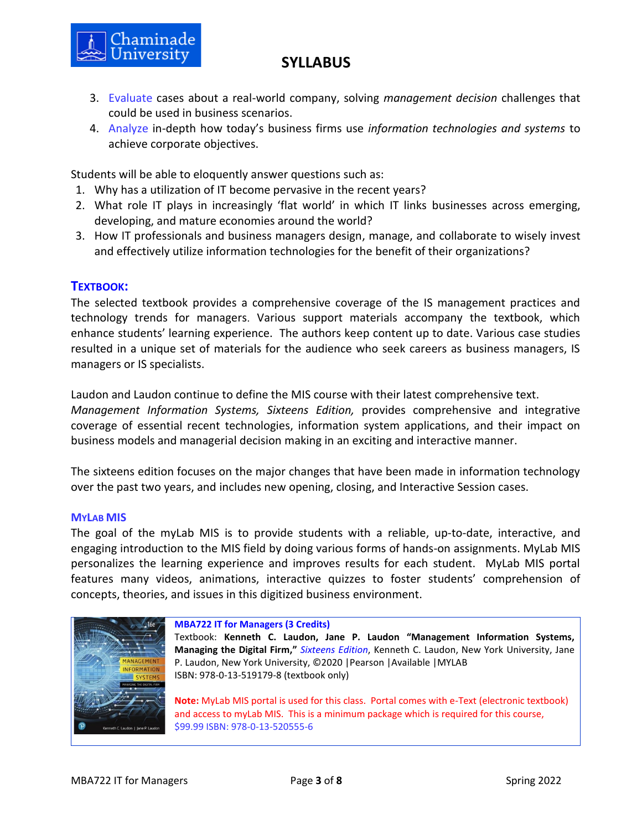

- 3. Evaluate cases about a real-world company, solving *management decision* challenges that could be used in business scenarios.
- 4. Analyze in-depth how today's business firms use *information technologies and systems* to achieve corporate objectives.

Students will be able to eloquently answer questions such as:

- 1. Why has a utilization of IT become pervasive in the recent years?
- 2. What role IT plays in increasingly 'flat world' in which IT links businesses across emerging, developing, and mature economies around the world?
- 3. How IT professionals and business managers design, manage, and collaborate to wisely invest and effectively utilize information technologies for the benefit of their organizations?

### **TEXTBOOK:**

The selected textbook provides a comprehensive coverage of the IS management practices and technology trends for managers. Various support materials accompany the textbook, which enhance students' learning experience. The authors keep content up to date. Various case studies resulted in a unique set of materials for the audience who seek careers as business managers, IS managers or IS specialists.

Laudon and Laudon continue to define the MIS course with their latest comprehensive text.

*Management Information Systems, Sixteens Edition,* provides comprehensive and integrative coverage of essential recent technologies, information system applications, and their impact on business models and managerial decision making in an exciting and interactive manner.

The sixteens edition focuses on the major changes that have been made in information technology over the past two years, and includes new opening, closing, and Interactive Session cases.

#### **MYLAB MIS**

The goal of the myLab MIS is to provide students with a reliable, up-to-date, interactive, and engaging introduction to the MIS field by doing various forms of hands-on assignments. MyLab MIS personalizes the learning experience and improves results for each student. MyLab MIS portal features many videos, animations, interactive quizzes to foster students' comprehension of concepts, theories, and issues in this digitized business environment.



#### **MBA722 IT for Managers (3 Credits)**

Textbook: **Kenneth C. Laudon, Jane P. Laudon "Management Information Systems, Managing the Digital Firm,"** *Sixteens Edition*, Kenneth C. Laudon, New York University, Jane P. Laudon, New York University, ©2020 |Pearson |Available |MYLAB ISBN: 978-0-13-519179-8 (textbook only)

**Note:** MyLab MIS portal is used for this class. Portal comes with e-Text (electronic textbook) and access to myLab MIS. This is a minimum package which is required for this course, \$99.99 ISBN: 978-0-13-520555-6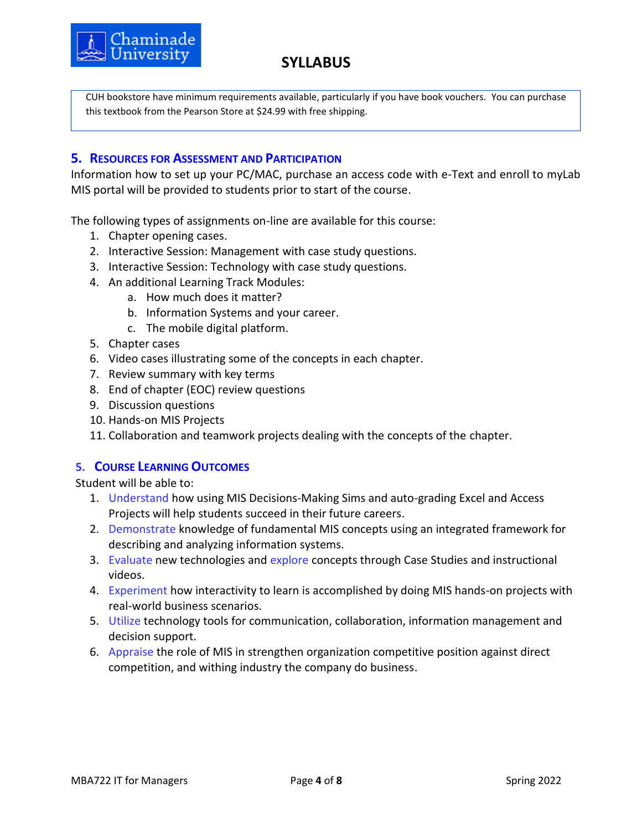

CUH bookstore have minimum requirements available, particularly if you have book vouchers. You can purchase this textbook from the Pearson Store at \$24.99 with free shipping.

### **5. RESOURCES FOR ASSESSMENT AND PARTICIPATION**

Information how to set up your PC/MAC, purchase an access code with e-Text and enroll to myLab MIS portal will be provided to students prior to start of the course.

The following types of assignments on-line are available for this course:

- 1. Chapter opening cases.
- 2. Interactive Session: Management with case study questions.
- 3. Interactive Session: Technology with case study questions.
- 4. An additional Learning Track Modules:
	- a. How much does it matter?
	- b. Information Systems and your career.
	- c. The mobile digital platform.
- 5. Chapter cases
- 6. Video cases illustrating some of the concepts in each chapter.
- 7. Review summary with key terms
- 8. End of chapter (EOC) review questions
- 9. Discussion questions
- 10. Hands-on MIS Projects
- 11. Collaboration and teamwork projects dealing with the concepts of the chapter.

### **5. COURSE LEARNING OUTCOMES**

Student will be able to:

- 1. Understand how using MIS Decisions-Making Sims and auto-grading Excel and Access Projects will help students succeed in their future careers.
- 2. Demonstrate knowledge of fundamental MIS concepts using an integrated framework for describing and analyzing information systems.
- 3. Evaluate new technologies and explore concepts through Case Studies and instructional videos.
- 4. Experiment how interactivity to learn is accomplished by doing MIS hands-on projects with real-world business scenarios.
- 5. Utilize technology tools for communication, collaboration, information management and decision support.
- 6. Appraise the role of MIS in strengthen organization competitive position against direct competition, and withing industry the company do business.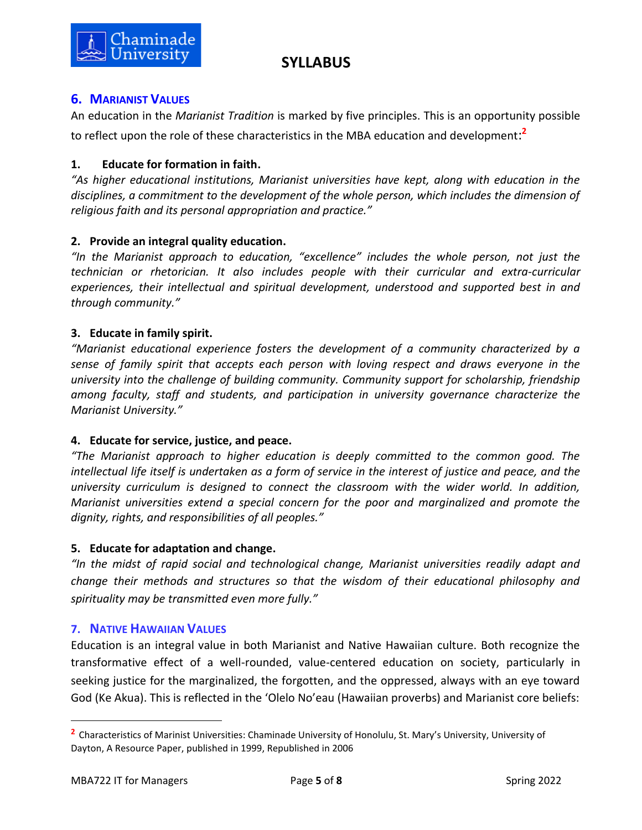

## **6. MARIANIST VALUES**

An education in the *Marianist Tradition* is marked by five principles. This is an opportunity possible to reflect upon the role of these characteristics in the MBA education and development: **2**

## **1. Educate for formation in faith.**

*"As higher educational institutions, Marianist universities have kept, along with education in the disciplines, a commitment to the development of the whole person, which includes the dimension of religious faith and its personal appropriation and practice."*

## **2. Provide an integral quality education.**

*"In the Marianist approach to education, "excellence" includes the whole person, not just the technician or rhetorician. It also includes people with their curricular and extra-curricular experiences, their intellectual and spiritual development, understood and supported best in and through community."*

### **3. Educate in family spirit.**

*"Marianist educational experience fosters the development of a community characterized by a sense of family spirit that accepts each person with loving respect and draws everyone in the university into the challenge of building community. Community support for scholarship, friendship among faculty, staff and students, and participation in university governance characterize the Marianist University."*

## **4. Educate for service, justice, and peace.**

*"The Marianist approach to higher education is deeply committed to the common good. The intellectual life itself is undertaken as a form of service in the interest of justice and peace, and the university curriculum is designed to connect the classroom with the wider world. In addition, Marianist universities extend a special concern for the poor and marginalized and promote the dignity, rights, and responsibilities of all peoples."*

### **5. Educate for adaptation and change.**

*"In the midst of rapid social and technological change, Marianist universities readily adapt and change their methods and structures so that the wisdom of their educational philosophy and spirituality may be transmitted even more fully."*

## **7. NATIVE HAWAIIAN VALUES**

Education is an integral value in both Marianist and Native Hawaiian culture. Both recognize the transformative effect of a well-rounded, value-centered education on society, particularly in seeking justice for the marginalized, the forgotten, and the oppressed, always with an eye toward God (Ke Akua). This is reflected in the 'Olelo No'eau (Hawaiian proverbs) and Marianist core beliefs:

**<sup>2</sup>** Characteristics of Marinist Universities: Chaminade University of Honolulu, St. Mary's University, University of Dayton, A Resource Paper, published in 1999, Republished in 2006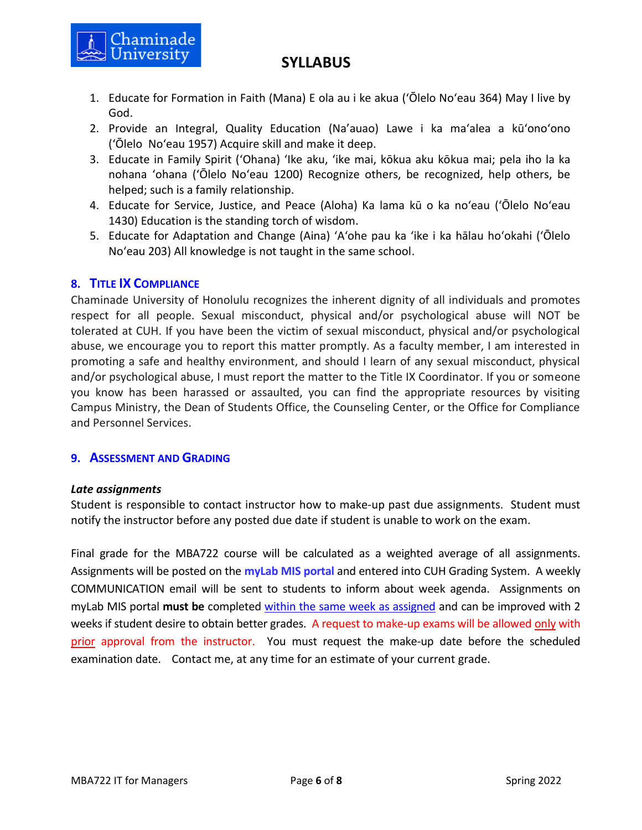

- 1. Educate for Formation in Faith (Mana) E ola au i ke akua (ʻŌlelo Noʻeau 364) May I live by God.
- 2. Provide an Integral, Quality Education (Na'auao) Lawe i ka maʻalea a kūʻonoʻono (ʻŌlelo Noʻeau 1957) Acquire skill and make it deep.
- 3. Educate in Family Spirit ('Ohana) ʻIke aku, ʻike mai, kōkua aku kōkua mai; pela iho la ka nohana ʻohana ('Ōlelo Noʻeau 1200) Recognize others, be recognized, help others, be helped; such is a family relationship.
- 4. Educate for Service, Justice, and Peace (Aloha) Ka lama kū o ka noʻeau (ʻŌlelo Noʻeau 1430) Education is the standing torch of wisdom.
- 5. Educate for Adaptation and Change (Aina) ʻAʻohe pau ka 'ike i ka hālau hoʻokahi (ʻŌlelo Noʻeau 203) All knowledge is not taught in the same school.

## **8. TITLE IX COMPLIANCE**

Chaminade University of Honolulu recognizes the inherent dignity of all individuals and promotes respect for all people. Sexual misconduct, physical and/or psychological abuse will NOT be tolerated at CUH. If you have been the victim of sexual misconduct, physical and/or psychological abuse, we encourage you to report this matter promptly. As a faculty member, I am interested in promoting a safe and healthy environment, and should I learn of any sexual misconduct, physical and/or psychological abuse, I must report the matter to the Title IX Coordinator. If you or someone you know has been harassed or assaulted, you can find the appropriate resources by visiting Campus Ministry, the Dean of Students Office, the Counseling Center, or the Office for Compliance and Personnel Services.

## **9. ASSESSMENT AND GRADING**

### *Late assignments*

Student is responsible to contact instructor how to make-up past due assignments. Student must notify the instructor before any posted due date if student is unable to work on the exam.

Final grade for the MBA722 course will be calculated as a weighted average of all assignments. Assignments will be posted on the **myLab MIS portal** and entered into CUH Grading System. A weekly COMMUNICATION email will be sent to students to inform about week agenda. Assignments on [myLab MIS](http://www.myitlab.com/) portal **must be** completed within the same week as assigned and can be improved with 2 weeks if student desire to obtain better grades. A request to make-up exams will be allowed only with prior approval from the instructor. You must request the make-up date before the scheduled examination date. Contact me, at any time for an estimate of your current grade.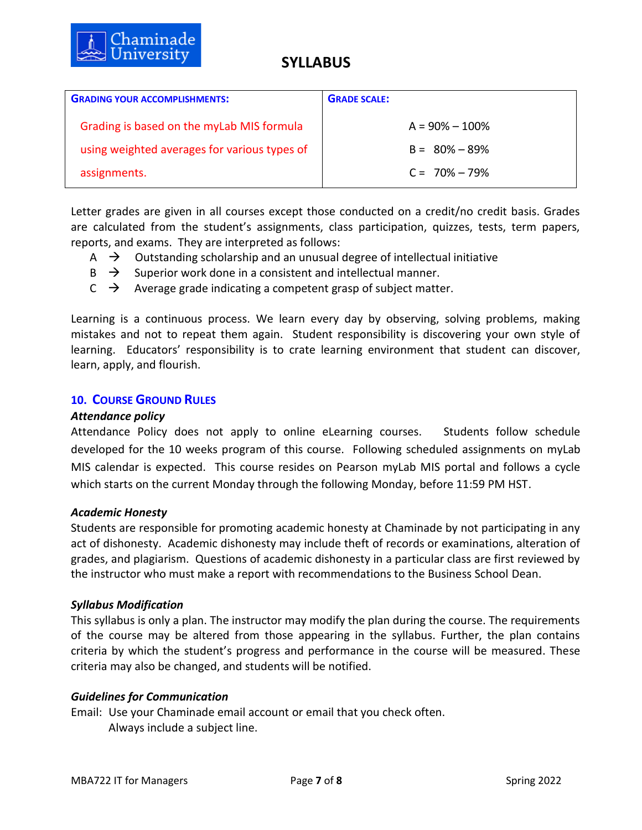

| <b>GRADING YOUR ACCOMPLISHMENTS:</b>         | <b>GRADE SCALE:</b> |
|----------------------------------------------|---------------------|
| Grading is based on the myLab MIS formula    | $A = 90\% - 100\%$  |
| using weighted averages for various types of | $B = 80\% - 89\%$   |
| assignments.                                 | $C = 70\% - 79\%$   |

Letter grades are given in all courses except those conducted on a credit/no credit basis. Grades are calculated from the student's assignments, class participation, quizzes, tests, term papers, reports, and exams. They are interpreted as follows:

- $\overrightarrow{A}$  Outstanding scholarship and an unusual degree of intellectual initiative
- $\overrightarrow{B}$   $\rightarrow$  Superior work done in a consistent and intellectual manner.
- $C \rightarrow$  Average grade indicating a competent grasp of subject matter.

Learning is a continuous process. We learn every day by observing, solving problems, making mistakes and not to repeat them again. Student responsibility is discovering your own style of learning. Educators' responsibility is to crate learning environment that student can discover, learn, apply, and flourish.

### **10. COURSE GROUND RULES**

### *Attendance policy*

Attendance Policy does not apply to online eLearning courses. Students follow schedule developed for the 10 weeks program of this course. Following scheduled assignments on myLab MIS calendar is expected. This course resides on Pearson myLab MIS portal and follows a cycle which starts on the current Monday through the following Monday, before 11:59 PM HST.

### *Academic Honesty*

Students are responsible for promoting academic honesty at Chaminade by not participating in any act of dishonesty. Academic dishonesty may include theft of records or examinations, alteration of grades, and plagiarism. Questions of academic dishonesty in a particular class are first reviewed by the instructor who must make a report with recommendations to the Business School Dean.

### *Syllabus Modification*

This syllabus is only a plan. The instructor may modify the plan during the course. The requirements of the course may be altered from those appearing in the syllabus. Further, the plan contains criteria by which the student's progress and performance in the course will be measured. These criteria may also be changed, and students will be notified.

### *Guidelines for Communication*

Email: Use your Chaminade email account or email that you check often. Always include a subject line.